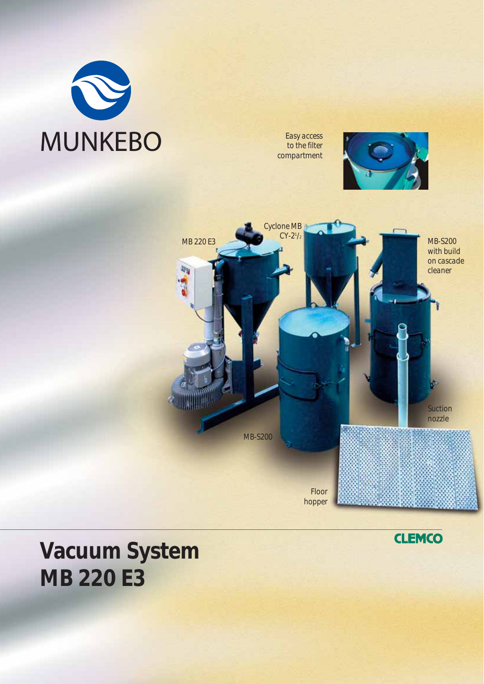

*Easy access to the filter compartment* 





# **Vacuum System MB 220 E3**

**CLEMCO**